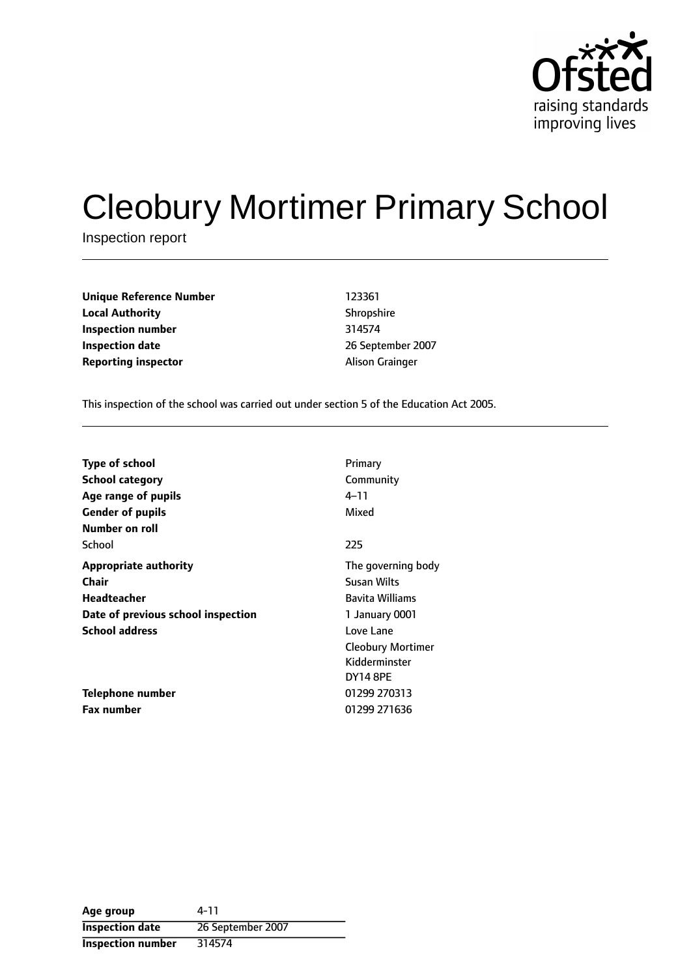

# Cleobury Mortimer Primary School

Inspection report

**Unique Reference Number** 123361 **Local Authority** Shropshire **Inspection number** 314574 **Inspection date** 2007 **Reporting inspector Alison Grainger** 

This inspection of the school was carried out under section 5 of the Education Act 2005.

| Type of school                     | Primary                  |
|------------------------------------|--------------------------|
| <b>School category</b>             | Community                |
| Age range of pupils                | 4–11                     |
| <b>Gender of pupils</b>            | Mixed                    |
| Number on roll                     |                          |
| School                             | 225                      |
| <b>Appropriate authority</b>       | The governing body       |
| Chair                              | Susan Wilts              |
| Headteacher                        | <b>Bavita Williams</b>   |
| Date of previous school inspection | 1 January 0001           |
| <b>School address</b>              | Love Lane                |
|                                    | <b>Cleobury Mortimer</b> |
|                                    | Kidderminster            |
|                                    | <b>DY14 8PE</b>          |
| Telephone number                   | 01299 270313             |
| <b>Fax number</b>                  | 01299 271636             |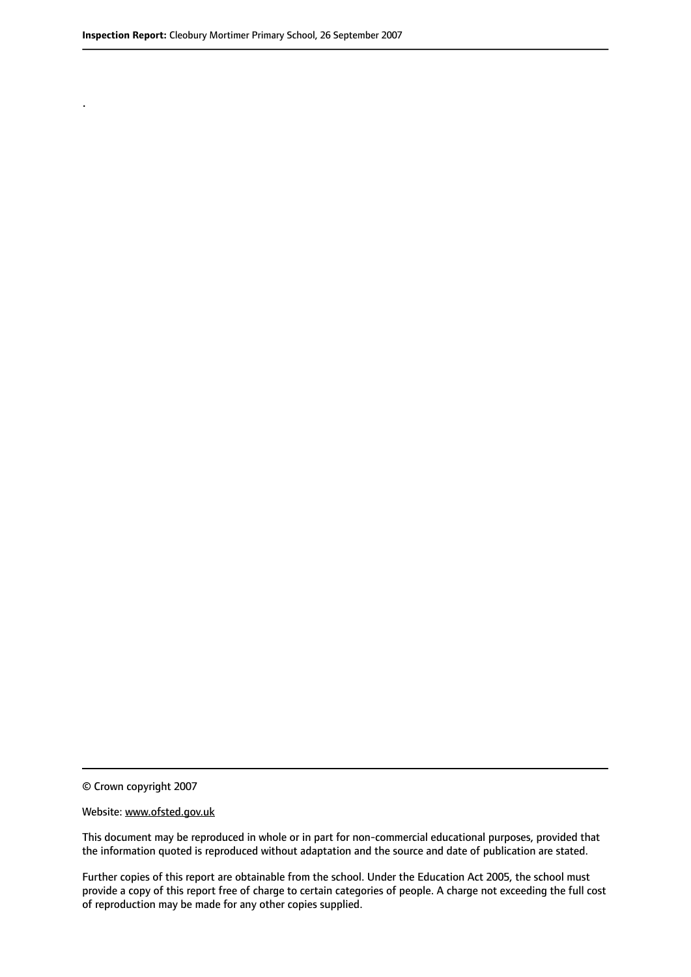.

© Crown copyright 2007

#### Website: www.ofsted.gov.uk

This document may be reproduced in whole or in part for non-commercial educational purposes, provided that the information quoted is reproduced without adaptation and the source and date of publication are stated.

Further copies of this report are obtainable from the school. Under the Education Act 2005, the school must provide a copy of this report free of charge to certain categories of people. A charge not exceeding the full cost of reproduction may be made for any other copies supplied.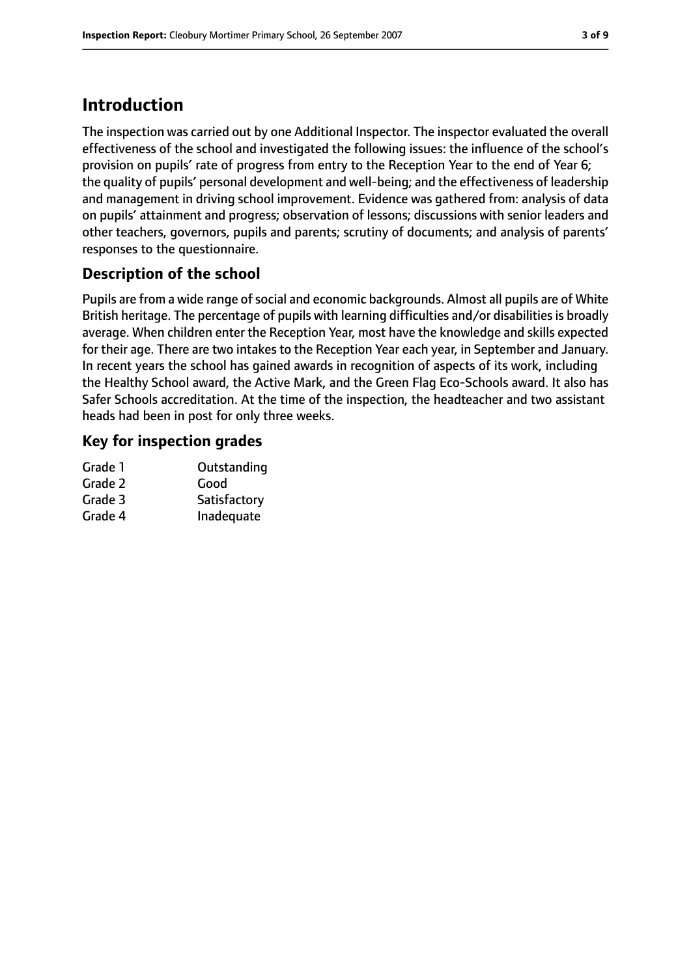# **Introduction**

The inspection was carried out by one Additional Inspector. The inspector evaluated the overall effectiveness of the school and investigated the following issues: the influence of the school's provision on pupils' rate of progress from entry to the Reception Year to the end of Year 6; the quality of pupils' personal development and well-being; and the effectiveness of leadership and management in driving school improvement. Evidence was gathered from: analysis of data on pupils' attainment and progress; observation of lessons; discussions with senior leaders and other teachers, governors, pupils and parents; scrutiny of documents; and analysis of parents' responses to the questionnaire.

# **Description of the school**

Pupils are from a wide range of social and economic backgrounds. Almost all pupils are of White British heritage. The percentage of pupils with learning difficulties and/or disabilities is broadly average. When children enter the Reception Year, most have the knowledge and skills expected for their age. There are two intakes to the Reception Year each year, in September and January. In recent years the school has gained awards in recognition of aspects of its work, including the Healthy School award, the Active Mark, and the Green Flag Eco-Schools award. It also has Safer Schools accreditation. At the time of the inspection, the headteacher and two assistant heads had been in post for only three weeks.

# **Key for inspection grades**

| Grade 1 | Outstanding  |
|---------|--------------|
| Grade 2 | Good         |
| Grade 3 | Satisfactory |
| Grade 4 | Inadequate   |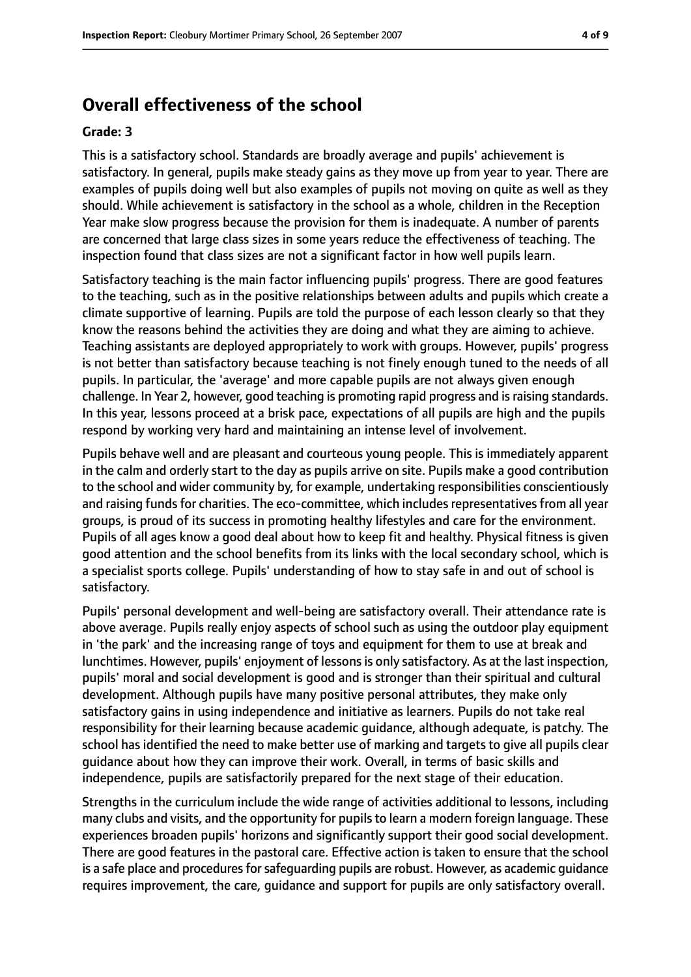# **Overall effectiveness of the school**

#### **Grade: 3**

This is a satisfactory school. Standards are broadly average and pupils' achievement is satisfactory. In general, pupils make steady gains as they move up from year to year. There are examples of pupils doing well but also examples of pupils not moving on quite as well as they should. While achievement is satisfactory in the school as a whole, children in the Reception Year make slow progress because the provision for them is inadequate. A number of parents are concerned that large class sizes in some years reduce the effectiveness of teaching. The inspection found that class sizes are not a significant factor in how well pupils learn.

Satisfactory teaching is the main factor influencing pupils' progress. There are good features to the teaching, such as in the positive relationships between adults and pupils which create a climate supportive of learning. Pupils are told the purpose of each lesson clearly so that they know the reasons behind the activities they are doing and what they are aiming to achieve. Teaching assistants are deployed appropriately to work with groups. However, pupils' progress is not better than satisfactory because teaching is not finely enough tuned to the needs of all pupils. In particular, the 'average' and more capable pupils are not always given enough challenge. In Year 2, however, good teaching is promoting rapid progress and israising standards. In this year, lessons proceed at a brisk pace, expectations of all pupils are high and the pupils respond by working very hard and maintaining an intense level of involvement.

Pupils behave well and are pleasant and courteous young people. This is immediately apparent in the calm and orderly start to the day as pupils arrive on site. Pupils make a good contribution to the school and wider community by, for example, undertaking responsibilities conscientiously and raising funds for charities. The eco-committee, which includes representatives from all year groups, is proud of its success in promoting healthy lifestyles and care for the environment. Pupils of all ages know a good deal about how to keep fit and healthy. Physical fitness is given good attention and the school benefits from its links with the local secondary school, which is a specialist sports college. Pupils' understanding of how to stay safe in and out of school is satisfactory.

Pupils' personal development and well-being are satisfactory overall. Their attendance rate is above average. Pupils really enjoy aspects of school such as using the outdoor play equipment in 'the park' and the increasing range of toys and equipment for them to use at break and lunchtimes. However, pupils' enjoyment of lessons is only satisfactory. As at the last inspection, pupils' moral and social development is good and is stronger than their spiritual and cultural development. Although pupils have many positive personal attributes, they make only satisfactory gains in using independence and initiative as learners. Pupils do not take real responsibility for their learning because academic guidance, although adequate, is patchy. The school has identified the need to make better use of marking and targets to give all pupils clear guidance about how they can improve their work. Overall, in terms of basic skills and independence, pupils are satisfactorily prepared for the next stage of their education.

Strengths in the curriculum include the wide range of activities additional to lessons, including many clubs and visits, and the opportunity for pupils to learn a modern foreign language. These experiences broaden pupils' horizons and significantly support their good social development. There are good features in the pastoral care. Effective action is taken to ensure that the school is a safe place and procedures for safeguarding pupils are robust. However, as academic guidance requires improvement, the care, guidance and support for pupils are only satisfactory overall.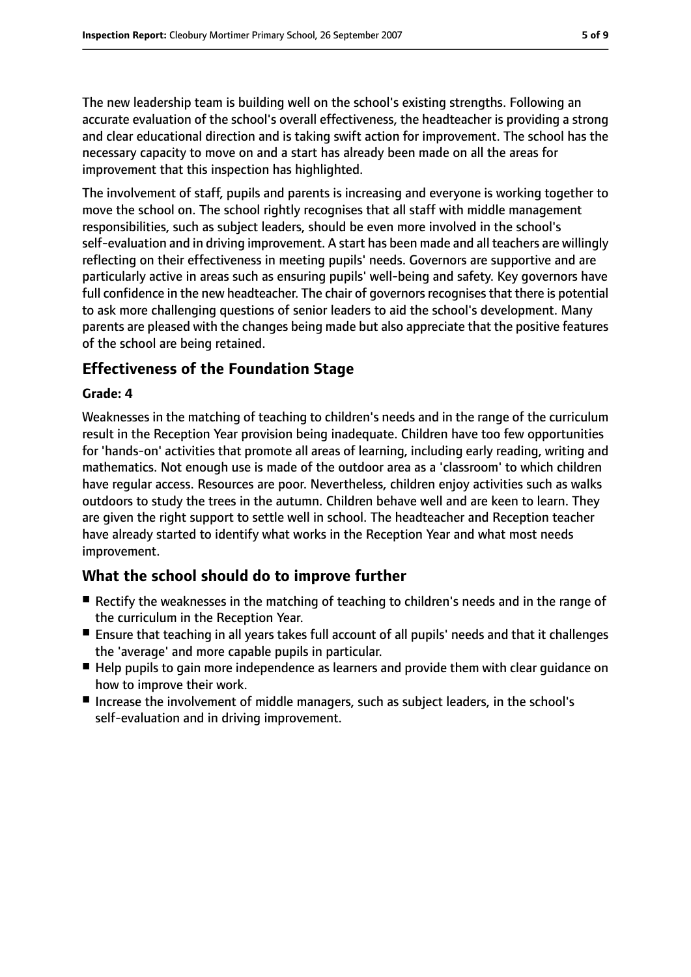The new leadership team is building well on the school's existing strengths. Following an accurate evaluation of the school's overall effectiveness, the headteacher is providing a strong and clear educational direction and is taking swift action for improvement. The school has the necessary capacity to move on and a start has already been made on all the areas for improvement that this inspection has highlighted.

The involvement of staff, pupils and parents is increasing and everyone is working together to move the school on. The school rightly recognises that all staff with middle management responsibilities, such as subject leaders, should be even more involved in the school's self-evaluation and in driving improvement. A start has been made and all teachers are willingly reflecting on their effectiveness in meeting pupils' needs. Governors are supportive and are particularly active in areas such as ensuring pupils' well-being and safety. Key governors have full confidence in the new headteacher. The chair of governors recognises that there is potential to ask more challenging questions of senior leaders to aid the school's development. Many parents are pleased with the changes being made but also appreciate that the positive features of the school are being retained.

## **Effectiveness of the Foundation Stage**

### **Grade: 4**

Weaknesses in the matching of teaching to children's needs and in the range of the curriculum result in the Reception Year provision being inadequate. Children have too few opportunities for 'hands-on' activities that promote all areas of learning, including early reading, writing and mathematics. Not enough use is made of the outdoor area as a 'classroom' to which children have regular access. Resources are poor. Nevertheless, children enjoy activities such as walks outdoors to study the trees in the autumn. Children behave well and are keen to learn. They are given the right support to settle well in school. The headteacher and Reception teacher have already started to identify what works in the Reception Year and what most needs improvement.

# **What the school should do to improve further**

- Rectify the weaknesses in the matching of teaching to children's needs and in the range of the curriculum in the Reception Year.
- Ensure that teaching in all years takes full account of all pupils' needs and that it challenges the 'average' and more capable pupils in particular.
- Help pupils to gain more independence as learners and provide them with clear quidance on how to improve their work.
- Increase the involvement of middle managers, such as subject leaders, in the school's self-evaluation and in driving improvement.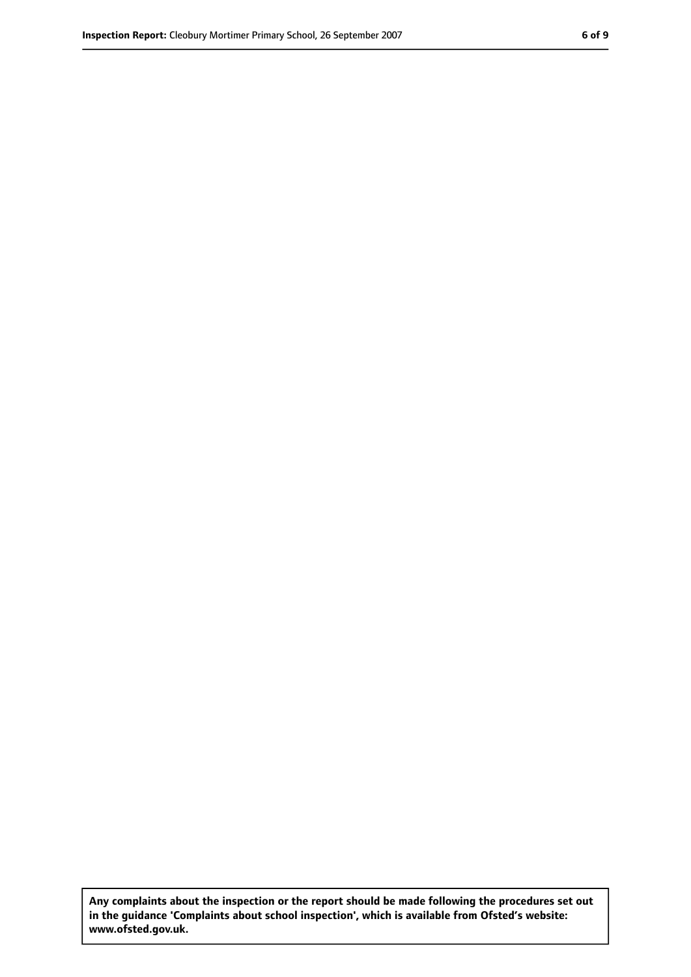**Any complaints about the inspection or the report should be made following the procedures set out in the guidance 'Complaints about school inspection', which is available from Ofsted's website: www.ofsted.gov.uk.**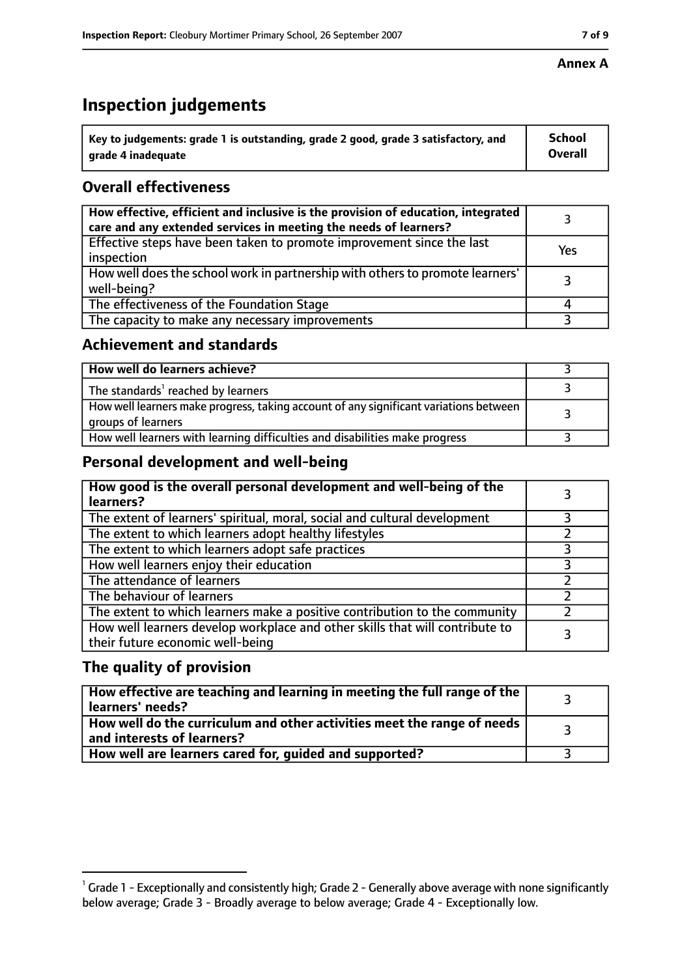# **Inspection judgements**

| $^{\backprime}$ Key to judgements: grade 1 is outstanding, grade 2 good, grade 3 satisfactory, and | <b>School</b>  |
|----------------------------------------------------------------------------------------------------|----------------|
| arade 4 inadeguate                                                                                 | <b>Overall</b> |

# **Overall effectiveness**

| How effective, efficient and inclusive is the provision of education, integrated<br>care and any extended services in meeting the needs of learners? |     |
|------------------------------------------------------------------------------------------------------------------------------------------------------|-----|
| Effective steps have been taken to promote improvement since the last<br>inspection                                                                  | Yes |
| How well does the school work in partnership with others to promote learners'<br>well-being?                                                         |     |
| The effectiveness of the Foundation Stage                                                                                                            |     |
| The capacity to make any necessary improvements                                                                                                      |     |

## **Achievement and standards**

| How well do learners achieve?                                                                               |  |
|-------------------------------------------------------------------------------------------------------------|--|
| The standards <sup>1</sup> reached by learners                                                              |  |
| How well learners make progress, taking account of any significant variations between<br>groups of learners |  |
| How well learners with learning difficulties and disabilities make progress                                 |  |

# **Personal development and well-being**

| How good is the overall personal development and well-being of the<br>learners?                                  |  |
|------------------------------------------------------------------------------------------------------------------|--|
| The extent of learners' spiritual, moral, social and cultural development                                        |  |
| The extent to which learners adopt healthy lifestyles                                                            |  |
| The extent to which learners adopt safe practices                                                                |  |
| How well learners enjoy their education                                                                          |  |
| The attendance of learners                                                                                       |  |
| The behaviour of learners                                                                                        |  |
| The extent to which learners make a positive contribution to the community                                       |  |
| How well learners develop workplace and other skills that will contribute to<br>their future economic well-being |  |

# **The quality of provision**

| How effective are teaching and learning in meeting the full range of the<br>learners' needs?          |  |
|-------------------------------------------------------------------------------------------------------|--|
| How well do the curriculum and other activities meet the range of needs<br>and interests of learners? |  |
| How well are learners cared for, quided and supported?                                                |  |

 $^1$  Grade 1 - Exceptionally and consistently high; Grade 2 - Generally above average with none significantly below average; Grade 3 - Broadly average to below average; Grade 4 - Exceptionally low.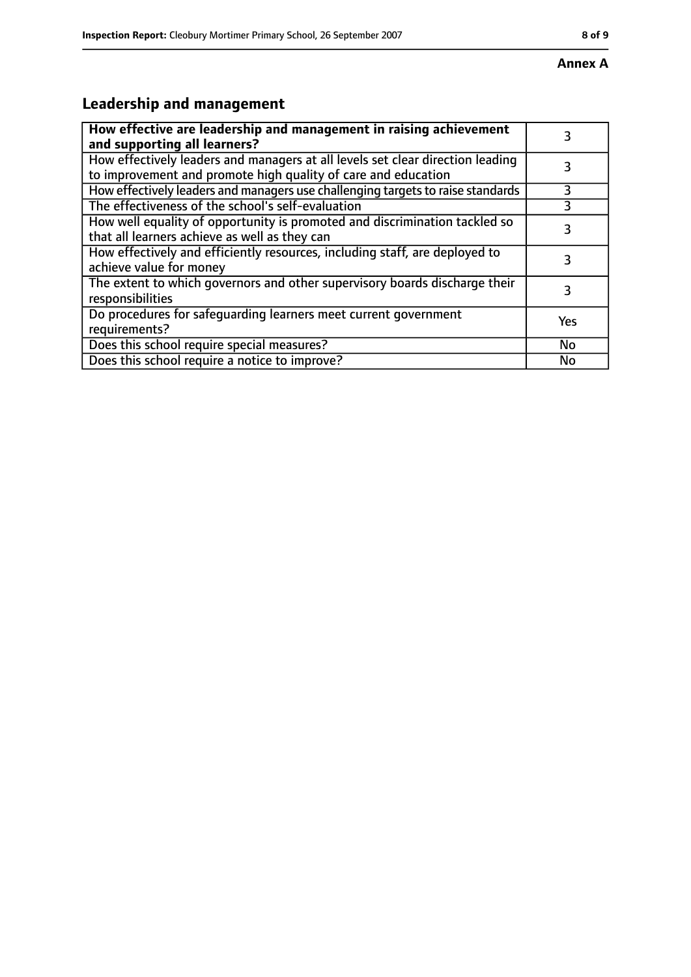# **Leadership and management**

| How effective are leadership and management in raising achievement<br>and supporting all learners?                                              |     |
|-------------------------------------------------------------------------------------------------------------------------------------------------|-----|
| How effectively leaders and managers at all levels set clear direction leading<br>to improvement and promote high quality of care and education |     |
| How effectively leaders and managers use challenging targets to raise standards                                                                 | 3   |
| The effectiveness of the school's self-evaluation                                                                                               |     |
| How well equality of opportunity is promoted and discrimination tackled so<br>that all learners achieve as well as they can                     | 3   |
| How effectively and efficiently resources, including staff, are deployed to<br>achieve value for money                                          | 3   |
| The extent to which governors and other supervisory boards discharge their<br>responsibilities                                                  | 3   |
| Do procedures for safequarding learners meet current government<br>requirements?                                                                | Yes |
| Does this school require special measures?                                                                                                      | No  |
| Does this school require a notice to improve?                                                                                                   | No  |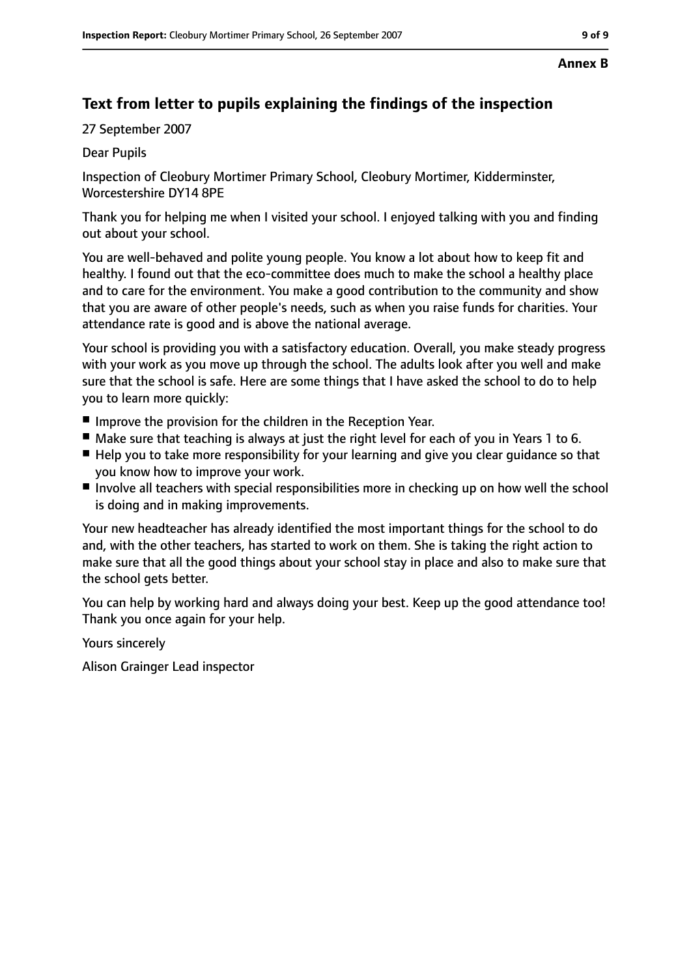# **Text from letter to pupils explaining the findings of the inspection**

27 September 2007

Dear Pupils

Inspection of Cleobury Mortimer Primary School, Cleobury Mortimer, Kidderminster, Worcestershire DY14 8PE

Thank you for helping me when I visited your school. I enjoyed talking with you and finding out about your school.

You are well-behaved and polite young people. You know a lot about how to keep fit and healthy. I found out that the eco-committee does much to make the school a healthy place and to care for the environment. You make a good contribution to the community and show that you are aware of other people's needs, such as when you raise funds for charities. Your attendance rate is good and is above the national average.

Your school is providing you with a satisfactory education. Overall, you make steady progress with your work as you move up through the school. The adults look after you well and make sure that the school is safe. Here are some things that I have asked the school to do to help you to learn more quickly:

- Improve the provision for the children in the Reception Year.
- Make sure that teaching is always at just the right level for each of you in Years 1 to 6.
- Help you to take more responsibility for your learning and give you clear guidance so that you know how to improve your work.
- Involve all teachers with special responsibilities more in checking up on how well the school is doing and in making improvements.

Your new headteacher has already identified the most important things for the school to do and, with the other teachers, has started to work on them. She is taking the right action to make sure that all the good things about your school stay in place and also to make sure that the school gets better.

You can help by working hard and always doing your best. Keep up the good attendance too! Thank you once again for your help.

Yours sincerely

Alison Grainger Lead inspector